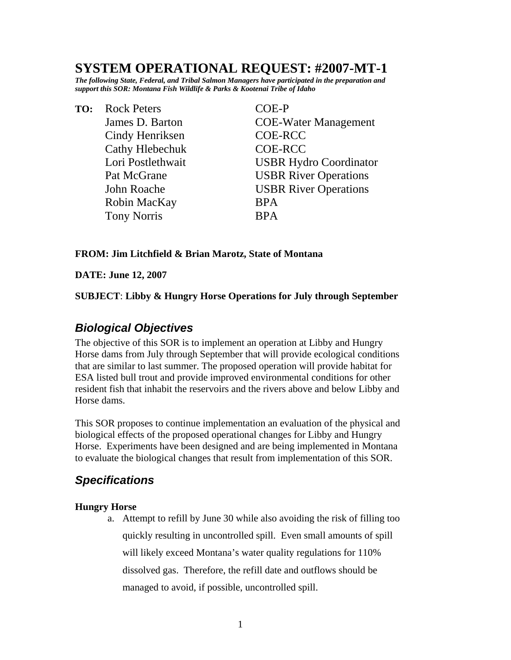# **SYSTEM OPERATIONAL REQUEST: #2007-MT-1**

*The following State, Federal, and Tribal Salmon Managers have participated in the preparation and support this SOR: Montana Fish Wildlife & Parks & Kootenai Tribe of Idaho* 

**TO:** Rock Peters COE-P Cindy Henriksen COE-RCC Cathy Hlebechuk COE-RCC Robin MacKay BPA Tony Norris BPA

 James D. Barton COE-Water Management Lori Postlethwait USBR Hydro Coordinator Pat McGrane USBR River Operations John Roache USBR River Operations

### **FROM: Jim Litchfield & Brian Marotz, State of Montana**

#### **DATE: June 12, 2007**

**SUBJECT**: **Libby & Hungry Horse Operations for July through September** 

## *Biological Objectives*

The objective of this SOR is to implement an operation at Libby and Hungry Horse dams from July through September that will provide ecological conditions that are similar to last summer. The proposed operation will provide habitat for ESA listed bull trout and provide improved environmental conditions for other resident fish that inhabit the reservoirs and the rivers above and below Libby and Horse dams.

This SOR proposes to continue implementation an evaluation of the physical and biological effects of the proposed operational changes for Libby and Hungry Horse. Experiments have been designed and are being implemented in Montana to evaluate the biological changes that result from implementation of this SOR.

## *Specifications*

#### **Hungry Horse**

a. Attempt to refill by June 30 while also avoiding the risk of filling too quickly resulting in uncontrolled spill. Even small amounts of spill will likely exceed Montana's water quality regulations for 110% dissolved gas. Therefore, the refill date and outflows should be managed to avoid, if possible, uncontrolled spill.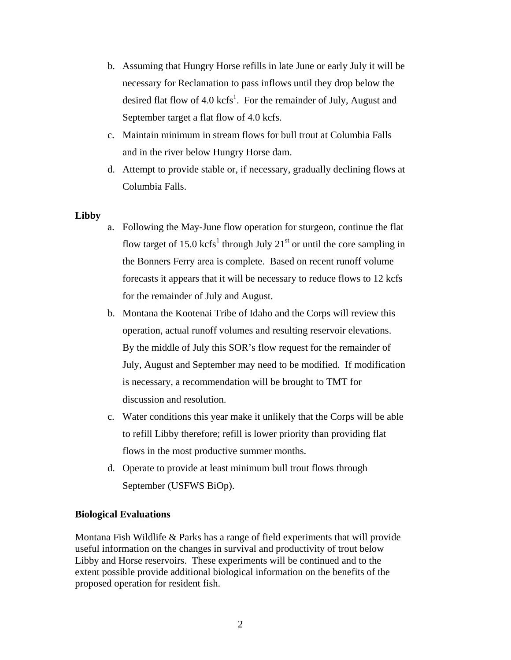- b. Assuming that Hungry Horse refills in late June or early July it will be necessary for Reclamation to pass inflows until they drop below the desired flat flow of 4.0  $kcfs^1$ . For the remainder of July, August and September target a flat flow of 4.0 kcfs.
- c. Maintain minimum in stream flows for bull trout at Columbia Falls and in the river below Hungry Horse dam.
- d. Attempt to provide stable or, if necessary, gradually declining flows at Columbia Falls.

#### **Libby**

- a. Following the May-June flow operation for sturgeon, continue the flat flow target of 15.0 kcfs<sup>1</sup> through July 21<sup>st</sup> or until the core sampling in the Bonners Ferry area is complete. Based on recent runoff volume forecasts it appears that it will be necessary to reduce flows to 12 kcfs for the remainder of July and August.
- b. Montana the Kootenai Tribe of Idaho and the Corps will review this operation, actual runoff volumes and resulting reservoir elevations. By the middle of July this SOR's flow request for the remainder of July, August and September may need to be modified. If modification is necessary, a recommendation will be brought to TMT for discussion and resolution.
- c. Water conditions this year make it unlikely that the Corps will be able to refill Libby therefore; refill is lower priority than providing flat flows in the most productive summer months.
- d. Operate to provide at least minimum bull trout flows through September (USFWS BiOp).

#### **Biological Evaluations**

Montana Fish Wildlife & Parks has a range of field experiments that will provide useful information on the changes in survival and productivity of trout below Libby and Horse reservoirs. These experiments will be continued and to the extent possible provide additional biological information on the benefits of the proposed operation for resident fish.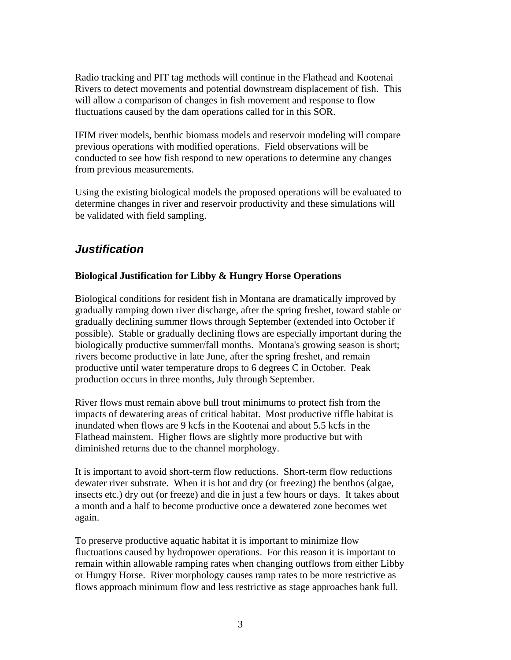Radio tracking and PIT tag methods will continue in the Flathead and Kootenai Rivers to detect movements and potential downstream displacement of fish. This will allow a comparison of changes in fish movement and response to flow fluctuations caused by the dam operations called for in this SOR.

IFIM river models, benthic biomass models and reservoir modeling will compare previous operations with modified operations. Field observations will be conducted to see how fish respond to new operations to determine any changes from previous measurements.

Using the existing biological models the proposed operations will be evaluated to determine changes in river and reservoir productivity and these simulations will be validated with field sampling.

# *Justification*

### **Biological Justification for Libby & Hungry Horse Operations**

Biological conditions for resident fish in Montana are dramatically improved by gradually ramping down river discharge, after the spring freshet, toward stable or gradually declining summer flows through September (extended into October if possible). Stable or gradually declining flows are especially important during the biologically productive summer/fall months. Montana's growing season is short; rivers become productive in late June, after the spring freshet, and remain productive until water temperature drops to 6 degrees C in October. Peak production occurs in three months, July through September.

River flows must remain above bull trout minimums to protect fish from the impacts of dewatering areas of critical habitat. Most productive riffle habitat is inundated when flows are 9 kcfs in the Kootenai and about 5.5 kcfs in the Flathead mainstem. Higher flows are slightly more productive but with diminished returns due to the channel morphology.

It is important to avoid short-term flow reductions. Short-term flow reductions dewater river substrate. When it is hot and dry (or freezing) the benthos (algae, insects etc.) dry out (or freeze) and die in just a few hours or days. It takes about a month and a half to become productive once a dewatered zone becomes wet again.

To preserve productive aquatic habitat it is important to minimize flow fluctuations caused by hydropower operations. For this reason it is important to remain within allowable ramping rates when changing outflows from either Libby or Hungry Horse. River morphology causes ramp rates to be more restrictive as flows approach minimum flow and less restrictive as stage approaches bank full.